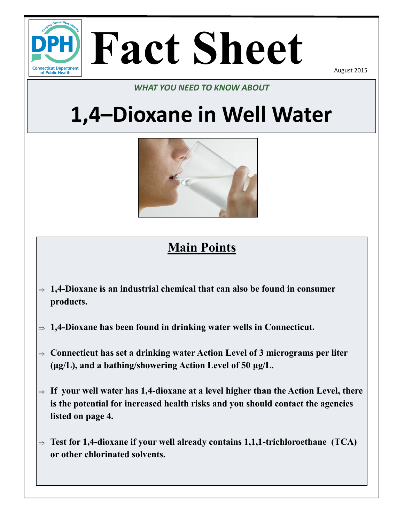

# **Fact Sheet**

August 2015

### *WHAT YOU NEED TO KNOW ABOUT*

# **1,4–Dioxane in Well Water**



# **Main Points**

- $\Rightarrow$  1,4–Dioxane is an industrial chemical that can also be found in consumer **products.**
- **1,4-Dioxane has been found in drinking water wells in Connecticut.**
- **Connecticut has set a drinking water Action Level of 3 micrograms per liter (μg/L), and a bathing/showering Action Level of 50 μg/L.**
- $\Rightarrow$  If your well water has 1,4-dioxane at a level higher than the Action Level, there **is the potential for increased health risks and you should contact the agencies listed on page 4.**
- **Test for 1,4-dioxane if your well already contains 1,1,1-trichloroethane (TCA) or other chlorinated solvents.**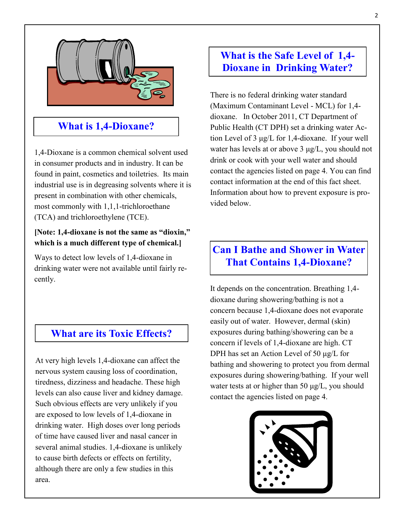

### **What is 1,4-Dioxane?**

1,4-Dioxane is a common chemical solvent used in consumer products and in industry. It can be found in paint, cosmetics and toiletries. Its main industrial use is in degreasing solvents where it is present in combination with other chemicals, most commonly with 1,1,1-trichloroethane (TCA) and trichloroethylene (TCE).

#### **[Note: 1,4-dioxane is not the same as "dioxin," which is a much different type of chemical.]**

Ways to detect low levels of 1,4-dioxane in drinking water were not available until fairly recently.

#### **What are its Toxic Effects?**

At very high levels 1,4-dioxane can affect the nervous system causing loss of coordination, tiredness, dizziness and headache. These high levels can also cause liver and kidney damage. Such obvious effects are very unlikely if you are exposed to low levels of 1,4-dioxane in drinking water. High doses over long periods of time have caused liver and nasal cancer in several animal studies. 1,4-dioxane is unlikely to cause birth defects or effects on fertility, although there are only a few studies in this area.

#### **What is the Safe Level of 1,4- Dioxane in Drinking Water?**

There is no federal drinking water standard (Maximum Contaminant Level - MCL) for 1,4 dioxane. In October 2011, CT Department of Public Health (CT DPH) set a drinking water Action Level of 3 μg/L for 1,4-dioxane. If your well water has levels at or above 3 μg/L, you should not drink or cook with your well water and should contact the agencies listed on page 4. You can find contact information at the end of this fact sheet. Information about how to prevent exposure is provided below.

## **Can I Bathe and Shower in Water That Contains 1,4-Dioxane?**

It depends on the concentration. Breathing 1,4 dioxane during showering/bathing is not a concern because 1,4-dioxane does not evaporate easily out of water. However, dermal (skin) exposures during bathing/showering can be a concern if levels of 1,4-dioxane are high. CT DPH has set an Action Level of 50 μg/L for bathing and showering to protect you from dermal exposures during showering/bathing. If your well water tests at or higher than 50 μg/L, you should contact the agencies listed on page 4.

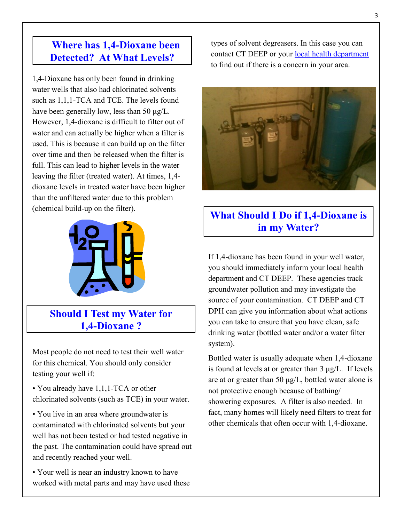### **Where has 1,4-Dioxane been Detected? At What Levels?**

1,4-Dioxane has only been found in drinking water wells that also had chlorinated solvents such as 1,1,1-TCA and TCE. The levels found have been generally low, less than 50 μg/L. However, 1,4-dioxane is difficult to filter out of water and can actually be higher when a filter is used. This is because it can build up on the filter over time and then be released when the filter is full. This can lead to higher levels in the water leaving the filter (treated water). At times, 1,4 dioxane levels in treated water have been higher than the unfiltered water due to this problem (chemical build-up on the filter).



**Should I Test my Water for 1,4-Dioxane ?**

Most people do not need to test their well water for this chemical. You should only consider testing your well if:

• You already have 1,1,1-TCA or other chlorinated solvents (such as TCE) in your water.

• You live in an area where groundwater is contaminated with chlorinated solvents but your well has not been tested or had tested negative in the past. The contamination could have spread out and recently reached your well.

• Your well is near an industry known to have worked with metal parts and may have used these types of solvent degreasers. In this case you can contact CT DEEP or your [local health department](http://www.ct.gov/dph/cwp/view.asp?a=3123&q=397740) to find out if there is a concern in your area.



# **What Should I Do if 1,4-Dioxane is in my Water?**

If 1,4-dioxane has been found in your well water, you should immediately inform your local health department and CT DEEP. These agencies track groundwater pollution and may investigate the source of your contamination. CT DEEP and CT DPH can give you information about what actions you can take to ensure that you have clean, safe drinking water (bottled water and/or a water filter system).

Bottled water is usually adequate when 1,4-dioxane is found at levels at or greater than  $3 \mu g/L$ . If levels are at or greater than 50  $\mu$ g/L, bottled water alone is not protective enough because of bathing/ showering exposures. A filter is also needed. In fact, many homes will likely need filters to treat for other chemicals that often occur with 1,4-dioxane.